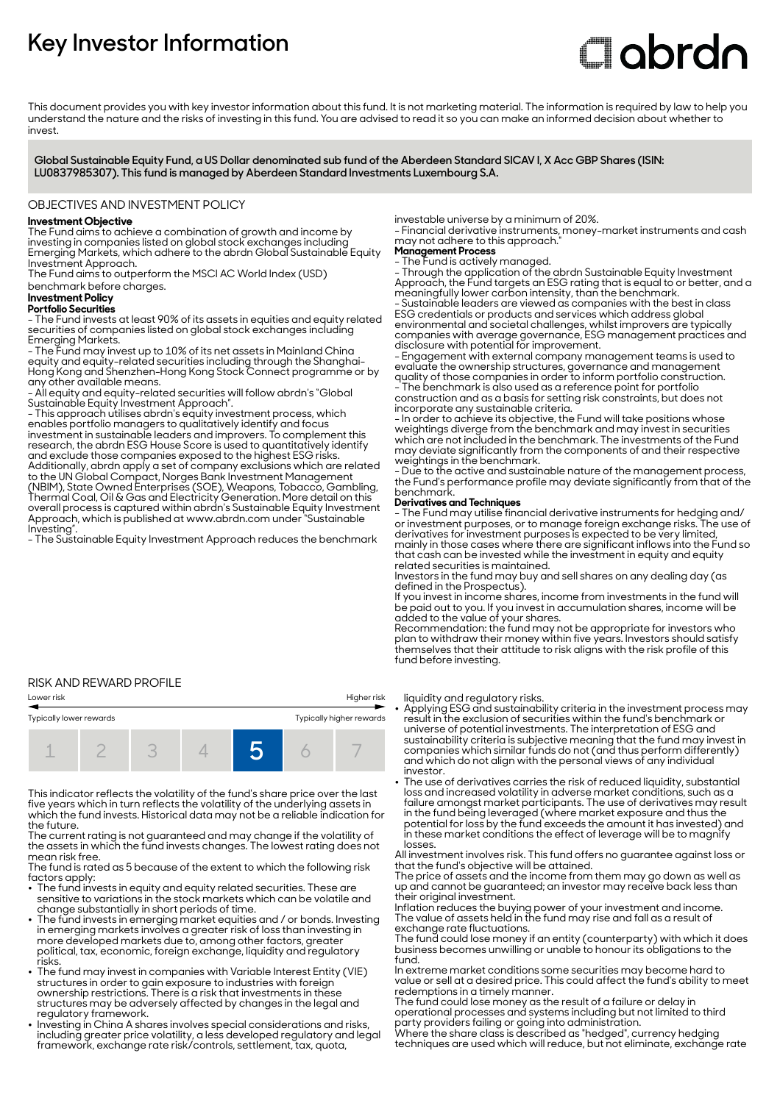# **Key Investor Information**

# **Clabrdn**

This document provides you with key investor information about this fund. It is not marketing material. The information is required by law to help you understand the nature and the risks of investing in this fund. You are advised to read it so you can make an informed decision about whether to invest

**Global Sustainable Equity Fund, a US Dollar denominated sub fund of the Aberdeen Standard SICAV I, X Acc GBP Shares (ISIN: LU0837985307). This fund is managed by Aberdeen Standard Investments Luxembourg S.A.**

#### OBJECTIVES AND INVESTMENT POLICY

# **Investment Objective**

The Fund aims to achieve a combination of growth and income by investing in companies listed on global stock exchanges including Emerging Markets, which adhere to the abrdn Global Sustainable Equity Investment Approach.

The Fund aims to outperform the MSCI AC World Index (USD) benchmark before charges.

#### **Investment Policy Portfolio Securities**

- The Fund invests at least 90% of its assets in equities and equity related securities of companies listed on global stock exchanges including Emerging Markets.

- The Fund may invest up to 10% of its net assets in Mainland China equity and equity-related securities including through the Shanghai-Hong Kong and Shenzhen-Hong Kong Stock Connect programme or by any other available means.

- All equity and equity-related securities will follow abrdn's "Global Sustainable Equity Investment Approach".

- This approach utilises abrdn's equity investment process, which enables portfolio managers to qualitatively identify and focus investment in sustainable leaders and improvers. To complement this research, the abrdn ESG House Score is used to quantitatively identify and exclude those companies exposed to the highest ESG risks. Additionally, abrdn apply a set of company exclusions which are related to the UN Global Compact, Norges Bank Investment Management (NBIM), State Owned Enterprises (SOE), Weapons, Tobacco, Gambling, Thermal Coal, Oil & Gas and Electricity Generation. More detail on this overall process is captured within abrdn's Sustainable Equity Investment Approach, which is published at www.abrdn.com under "Sustainable Investing".

- The Sustainable Equity Investment Approach reduces the benchmark

## RISK AND REWARD PROFILE

| Lower risk              |  |  | Higher risk              |  |  |  |  |
|-------------------------|--|--|--------------------------|--|--|--|--|
| Typically lower rewards |  |  | Typically higher rewards |  |  |  |  |
|                         |  |  |                          |  |  |  |  |

This indicator reflects the volatility of the fund's share price over the last five years which in turn reflects the volatility of the underlying assets in which the fund invests. Historical data may not be a reliable indication for the future.

The current rating is not guaranteed and may change if the volatility of the assets in which the fund invests changes. The lowest rating does not mean risk free.

The fund is rated as 5 because of the extent to which the following risk factors apply:

- The fund invests in equity and equity related securities. These are sensitive to variations in the stock markets which can be volatile and change substantially in short periods of time.
- The fund invests in emerging market equities and / or bonds. Investing in emerging markets involves a greater risk of loss than investing in more developed markets due to, among other factors, greater political, tax, economic, foreign exchange, liquidity and regulatory risks.
- . The fund may invest in companies with Variable Interest Entity (VIE) structures in order to gain exposure to industries with foreign ownership restrictions. There is a risk that investments in these structures may be adversely affected by changes in the legal and regulatory framework.
- Investing in China A shares involves special considerations and risks, including greater price volatility, a less developed regulatory and legal framework, exchange rate risk/controls, settlement, tax, quota,

investable universe by a minimum of 20%.

- Financial derivative instruments, money-market instruments and cash may not adhere to this approach.

**Management Process**

- The Fund is actively managed.

- Through the application of the abrdn Sustainable Equity Investment Approach, the Fund targets an ESG rating that is equal to or better, and a meaningfully lower carbon intensity, than the benchmark.

- Sustainable leaders are viewed as companies with the best in class ESG credentials or products and services which address global environmental and societal challenges, whilst improvers are typically companies with average governance, ESG management practices and disclosure with potential for improvement.

- Engagement with external company management teams is used to evaluate the ownership structures, governance and management quality of those companies in order to inform portfolio construction.

- The benchmark is also used as a reference point for portfolio construction and as a basis for setting risk constraints, but does not incorporate any sustainable criteria.

- In order to achieve its objective, the Fund will take positions whose weightings diverge from the benchmark and may invest in securities which are not included in the benchmark. The investments of the Fund may deviate significantly from the components of and their respective weightings in the benchmark.

- Due to the active and sustainable nature of the management process, the Fund's performance profile may deviate significantly from that of the benchmark.

#### **Derivatives and Techniques**

- The Fund may utilise financial derivative instruments for hedging and/ or investment purposes, or to manage foreign exchange risks. The use of derivatives for investment purposes is expected to be very limited, mainly in those cases where there are significant inflows into the Fund so that cash can be invested while the investment in equity and equity related securities is maintained.

Investors in the fund may buy and sell shares on any dealing day (as defined in the Prospectus).

If you invest in income shares, income from investments in the fund will be paid out to you. If you invest in accumulation shares, income will be added to the value of your shares.

Recommendation: the fund may not be appropriate for investors who plan to withdraw their money within five years. Investors should satisfy themselves that their attitude to risk aligns with the risk profile of this fund before investing.

liquidity and regulatory risks.

- 2 Applying ESG and sustainability criteria in the investment process may result in the exclusion of securities within the fund's benchmark or universe of potential investments. The interpretation of ESG and sustainability criteria is subjective meaning that the fund may invest in companies which similar funds do not (and thus perform differently) and which do not align with the personal views of any individual investor.
- The use of derivatives carries the risk of reduced liquidity, substantial loss and increased volatility in adverse market conditions, such as a failure amongst market participants. The use of derivatives may result in the fund being leveraged (where market exposure and thus the potential for loss by the fund exceeds the amount it has invested) and in these market conditions the effect of leverage will be to magnify losses.

All investment involves risk. This fund offers no guarantee against loss or that the fund's objective will be attained.

The price of assets and the income from them may go down as well as up and cannot be guaranteed; an investor may receive back less than their original investment.

Inflation reduces the buying power of your investment and income. The value of assets held in the fund may rise and fall as a result of exchange rate fluctuations.

The fund could lose money if an entity (counterparty) with which it does business becomes unwilling or unable to honour its obligations to the fund.

In extreme market conditions some securities may become hard to value or sell at a desired price. This could affect the fund's ability to meet redemptions in a timely manner.

The fund could lose money as the result of a failure or delay in operational processes and systems including but not limited to third party providers failing or going into administration.

Where the share class is described as "hedged", currency hedging techniques are used which will reduce, but not eliminate, exchange rate